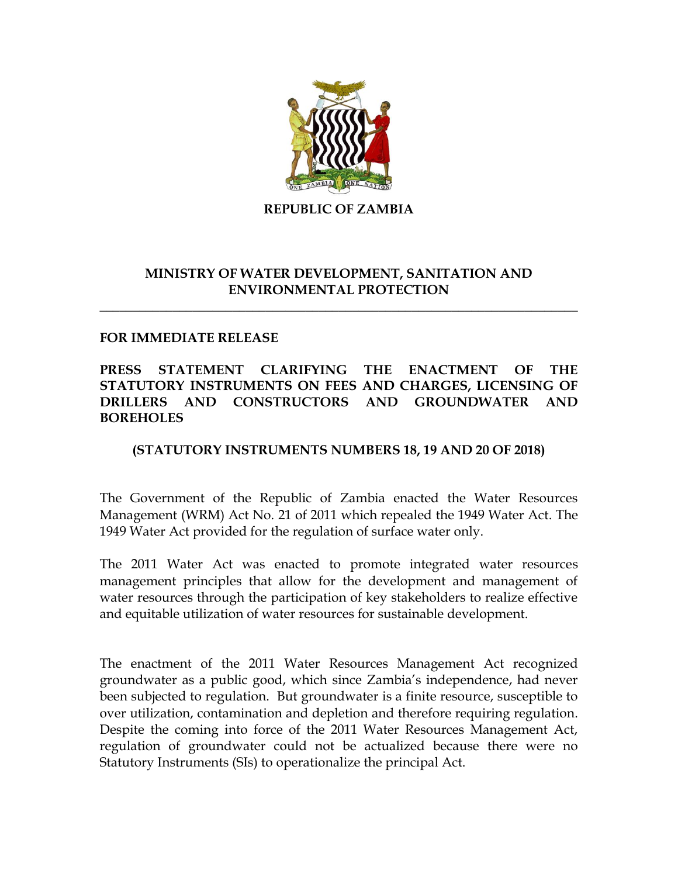

**REPUBLIC OF ZAMBIA**

## **MINISTRY OF WATER DEVELOPMENT, SANITATION AND ENVIRONMENTAL PROTECTION**

**\_\_\_\_\_\_\_\_\_\_\_\_\_\_\_\_\_\_\_\_\_\_\_\_\_\_\_\_\_\_\_\_\_\_\_\_\_\_\_\_\_\_\_\_\_\_\_\_\_\_\_\_\_\_\_\_\_\_\_\_\_\_\_\_\_\_\_\_\_\_\_\_**

## **FOR IMMEDIATE RELEASE**

## **PRESS STATEMENT CLARIFYING THE ENACTMENT OF THE STATUTORY INSTRUMENTS ON FEES AND CHARGES, LICENSING OF DRILLERS AND CONSTRUCTORS AND GROUNDWATER AND BOREHOLES**

## **(STATUTORY INSTRUMENTS NUMBERS 18, 19 AND 20 OF 2018)**

The Government of the Republic of Zambia enacted the Water Resources Management (WRM) Act No. 21 of 2011 which repealed the 1949 Water Act. The 1949 Water Act provided for the regulation of surface water only.

The 2011 Water Act was enacted to promote integrated water resources management principles that allow for the development and management of water resources through the participation of key stakeholders to realize effective and equitable utilization of water resources for sustainable development.

The enactment of the 2011 Water Resources Management Act recognized groundwater as a public good, which since Zambia's independence, had never been subjected to regulation. But groundwater is a finite resource, susceptible to over utilization, contamination and depletion and therefore requiring regulation. Despite the coming into force of the 2011 Water Resources Management Act, regulation of groundwater could not be actualized because there were no Statutory Instruments (SIs) to operationalize the principal Act.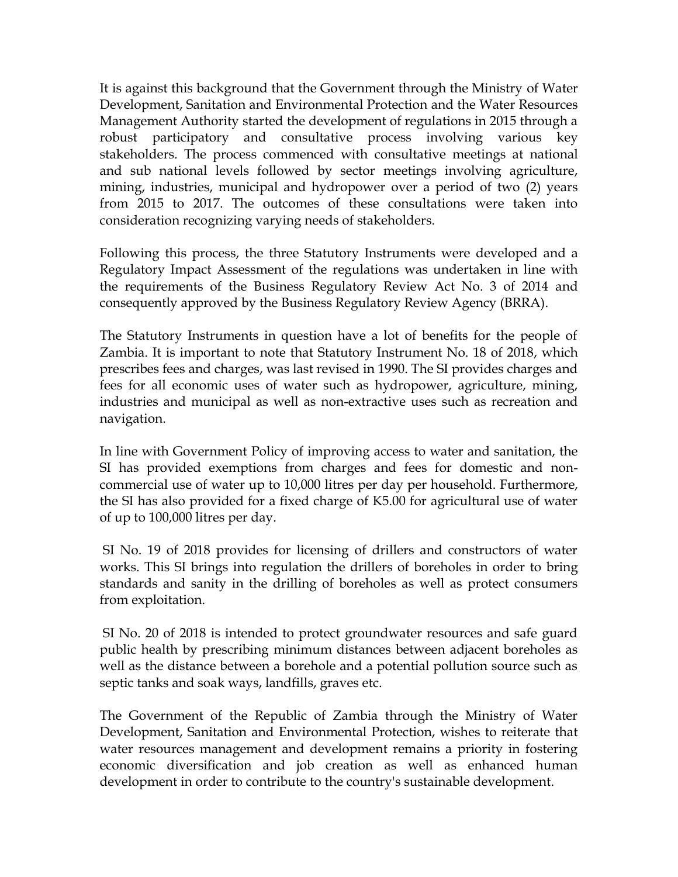It is against this background that the Government through the Ministry of Water Development, Sanitation and Environmental Protection and the Water Resources Management Authority started the development of regulations in 2015 through a robust participatory and consultative process involving various key stakeholders. The process commenced with consultative meetings at national and sub national levels followed by sector meetings involving agriculture, mining, industries, municipal and hydropower over a period of two (2) years from 2015 to 2017. The outcomes of these consultations were taken into consideration recognizing varying needs of stakeholders.

Following this process, the three Statutory Instruments were developed and a Regulatory Impact Assessment of the regulations was undertaken in line with the requirements of the Business Regulatory Review Act No. 3 of 2014 and consequently approved by the Business Regulatory Review Agency (BRRA).

The Statutory Instruments in question have a lot of benefits for the people of Zambia. It is important to note that Statutory Instrument No. 18 of 2018, which prescribes fees and charges, was last revised in 1990. The SI provides charges and fees for all economic uses of water such as hydropower, agriculture, mining, industries and municipal as well as non-extractive uses such as recreation and navigation.

In line with Government Policy of improving access to water and sanitation, the SI has provided exemptions from charges and fees for domestic and noncommercial use of water up to 10,000 litres per day per household. Furthermore, the SI has also provided for a fixed charge of K5.00 for agricultural use of water of up to 100,000 litres per day.

SI No. 19 of 2018 provides for licensing of drillers and constructors of water works. This SI brings into regulation the drillers of boreholes in order to bring standards and sanity in the drilling of boreholes as well as protect consumers from exploitation.

SI No. 20 of 2018 is intended to protect groundwater resources and safe guard public health by prescribing minimum distances between adjacent boreholes as well as the distance between a borehole and a potential pollution source such as septic tanks and soak ways, landfills, graves etc.

The Government of the Republic of Zambia through the Ministry of Water Development, Sanitation and Environmental Protection, wishes to reiterate that water resources management and development remains a priority in fostering economic diversification and job creation as well as enhanced human development in order to contribute to the country's sustainable development.